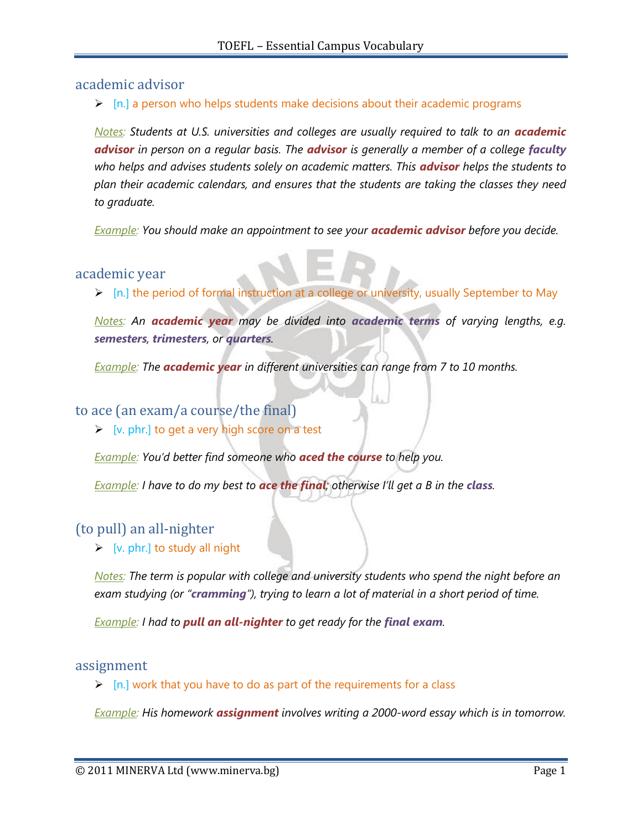# academic advisor

 $\triangleright$  [n.] a person who helps students make decisions about their academic programs

*Notes: Students at U.S. universities and colleges are usually required to talk to an academic advisor in person on a regular basis. The advisor is generally a member of a college faculty who helps and advises students solely on academic matters. This advisor helps the students to plan their academic calendars, and ensures that the students are taking the classes they need to graduate.*

*Example: You should make an appointment to see your academic advisor before you decide.*

## academic year

[n.] the period of formal instruction at a college or university, usually September to May

*Notes: An academic year may be divided into academic terms of varying lengths, e.g. semesters, trimesters, or quarters.*

*Example: The academic year in different universities can range from 7 to 10 months.*

# to ace (an exam/a course/the final)

 $\triangleright$  [v. phr.] to get a very high score on a test

*Example: You"d better find someone who aced the course to help you.*

*Example: I have to do my best to ace the final; otherwise I"ll get a B in the class.*

# (to pull) an all-nighter

 $\triangleright$  [v. phr.] to study all night

*Notes: The term is popular with college and university students who spend the night before an exam studying (or "cramming"), trying to learn a lot of material in a short period of time.*

*<u>Example</u>: I had to pull an all-nighter to get ready for the final exam.* 

## assignment

 $\triangleright$  [n.] work that you have to do as part of the requirements for a class

*Example: His homework assignment involves writing a 2000-word essay which is in tomorrow.*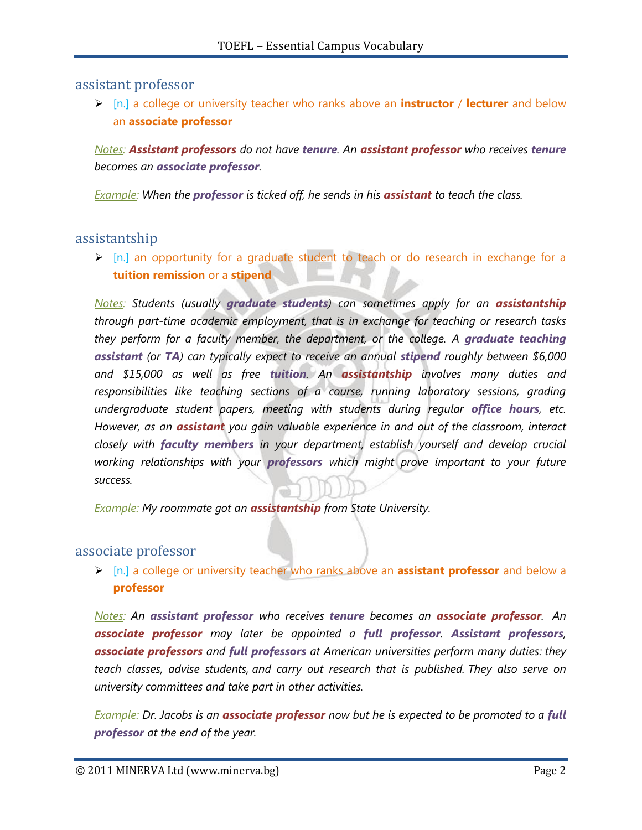assistant professor

 [n.] a college or university teacher who ranks above an **instructor** / **lecturer** and below an **associate professor**

*Notes: Assistant professors do not have tenure. An assistant professor who receives tenure becomes an associate professor.*

*Example: When the professor is ticked off, he sends in his assistant to teach the class.*

# assistantship

 [n.] an opportunity for a graduate student to teach or do research in exchange for a **tuition remission** or a **stipend**

*Notes: Students (usually graduate students) can sometimes apply for an assistantship through part-time academic employment, that is in exchange for teaching or research tasks they perform for a faculty member, the department, or the college. A graduate teaching assistant (or TA) can typically expect to receive an annual stipend roughly between \$6,000 and \$15,000 as well as free tuition. An assistantship involves many duties and responsibilities like teaching sections of a course, running laboratory sessions, grading undergraduate student papers, meeting with students during regular office hours, etc. However, as an assistant you gain valuable experience in and out of the classroom, interact closely with faculty members in your department, establish yourself and develop crucial working relationships with your professors which might prove important to your future success.*

*Example: My roommate got an assistantship from State University.*

## associate professor

 [n.] a college or university teacher who ranks above an **assistant professor** and below a **professor**

*Notes: An assistant professor who receives tenure becomes an associate professor. An associate professor may later be appointed a full professor. Assistant professors, associate professors and full professors at American universities perform many duties: they teach classes, advise students, and carry out research that is published. They also serve on university committees and take part in other activities.*

*Example: Dr. Jacobs is an associate professor now but he is expected to be promoted to a full professor at the end of the year.*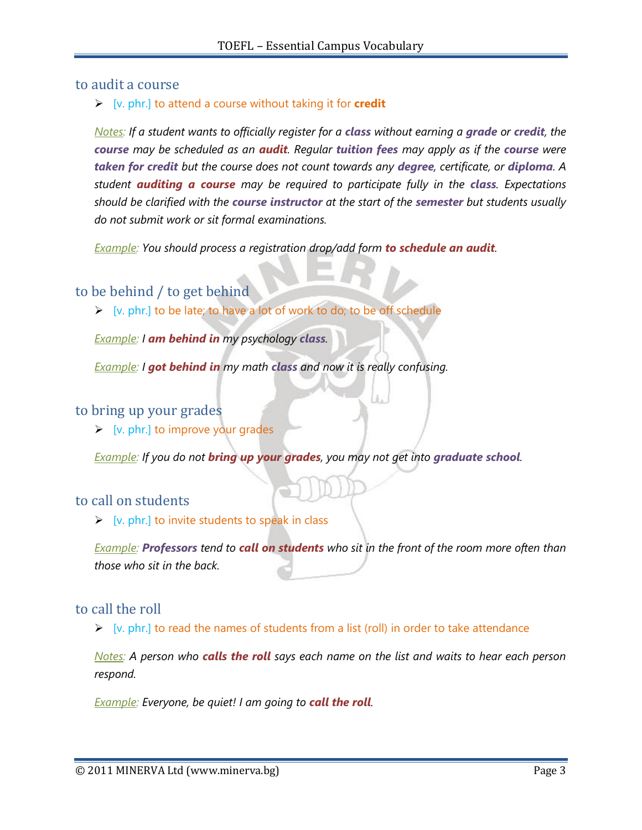## to audit a course

### [v. phr.] to attend a course without taking it for **credit**

*Notes: If a student wants to officially register for a class without earning a grade or credit, the course may be scheduled as an audit. Regular tuition fees may apply as if the course were taken for credit but the course does not count towards any degree, certificate, or diploma. A student auditing a course may be required to participate fully in the class. Expectations should be clarified with the course instructor at the start of the semester but students usually do not submit work or sit formal examinations.*

*Example: You should process a registration drop/add form to schedule an audit.*

## to be behind / to get behind

 $\triangleright$  [v. phr.] to be late; to have a lot of work to do; to be off schedule

*Example: I am behind in my psychology class.*

*Example: I got behind in my math class and now it is really confusing.*

### to bring up your grades

 $\triangleright$  [v. phr.] to improve your grades

*Example: If you do not bring up your grades, you may not get into graduate school.*

#### to call on students

 $\triangleright$  [v. phr.] to invite students to speak in class

*Example: Professors tend to call on students who sit in the front of the room more often than those who sit in the back.*

#### to call the roll

 $\triangleright$  [v. phr.] to read the names of students from a list (roll) in order to take attendance

*Notes: A person who calls the roll says each name on the list and waits to hear each person respond.*

*Example: Everyone, be quiet! I am going to call the roll.*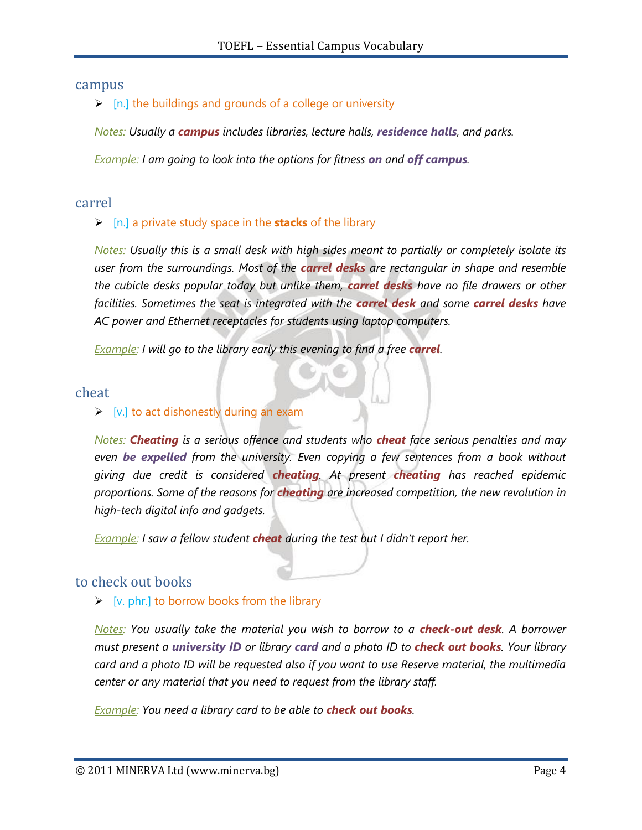#### campus

 $\triangleright$  [n.] the buildings and grounds of a college or university

*Notes: Usually a campus includes libraries, lecture halls, residence halls, and parks.*

*Example: I am going to look into the options for fitness on and off campus.*

#### carrel

#### [n.] a private study space in the **stacks** of the library

*Notes: Usually this is a small desk with high sides meant to partially or completely isolate its user from the surroundings. Most of the carrel desks are rectangular in shape and resemble the cubicle desks popular today but unlike them, carrel desks have no file drawers or other facilities. Sometimes the seat is integrated with the carrel desk and some carrel desks have AC power and Ethernet receptacles for students using laptop computers.*

*Example: I will go to the library early this evening to find a free <i>carrel*.

#### cheat

#### $\triangleright$  [v.] to act dishonestly during an exam

*Notes: Cheating is a serious offence and students who cheat face serious penalties and may even be expelled from the university. Even copying a few sentences from a book without giving due credit is considered cheating. At present cheating has reached epidemic proportions. Some of the reasons for cheating are increased competition, the new revolution in high-tech digital info and gadgets.*

*Example: I saw a fellow student cheat during the test but I didn"t report her.*

## to check out books

#### $\triangleright$  [v. phr.] to borrow books from the library

*Notes: You usually take the material you wish to borrow to a <i>check-out desk*. A borrower *must present a university ID or library card and a photo ID to check out books. Your library card and a photo ID will be requested also if you want to use Reserve material, the multimedia center or any material that you need to request from the library staff.*

*Example: You need a library card to be able to check out books.*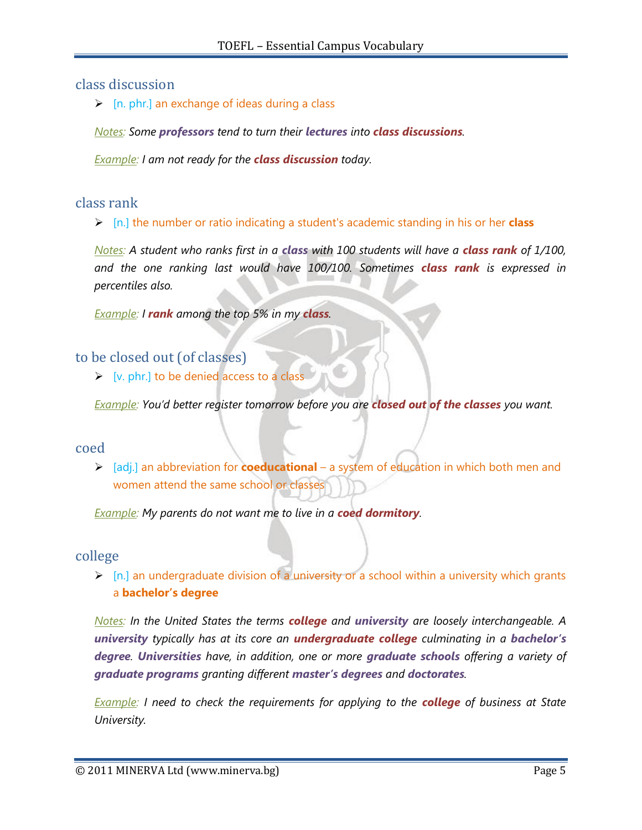# class discussion

 $\triangleright$  [n. phr.] an exchange of ideas during a class

*Notes: Some professors tend to turn their lectures into class discussions.*

*Example: I am not ready for the class discussion today.*

## class rank

[n.] the number or ratio indicating a student's academic standing in his or her **class**

*Notes: A student who ranks first in a class with 100 students will have a class rank of 1/100, and the one ranking last would have 100/100. Sometimes class rank is expressed in percentiles also.*

*Example: I rank among the top 5% in my class.*

## to be closed out (of classes)

 $\triangleright$  [v. phr.] to be denied access to a class

*Example: You"d better register tomorrow before you are closed out of the classes you want.* 

#### coed

 [adj.] an abbreviation for **coeducational** – a system of education in which both men and women attend the same school or classes

*Example: My parents do not want me to live in a coed dormitory.*

## college

 $\triangleright$  [n.] an undergraduate division of a university or a school within a university which grants a **bachelor's degree**

*Notes: In the United States the terms college and university are loosely interchangeable. A university typically has at its core an undergraduate college culminating in a bachelor's degree. Universities have, in addition, one or more graduate schools offering a variety of graduate programs granting different master's degrees and doctorates.*

*Example: I need to check the requirements for applying to the college of business at State University.*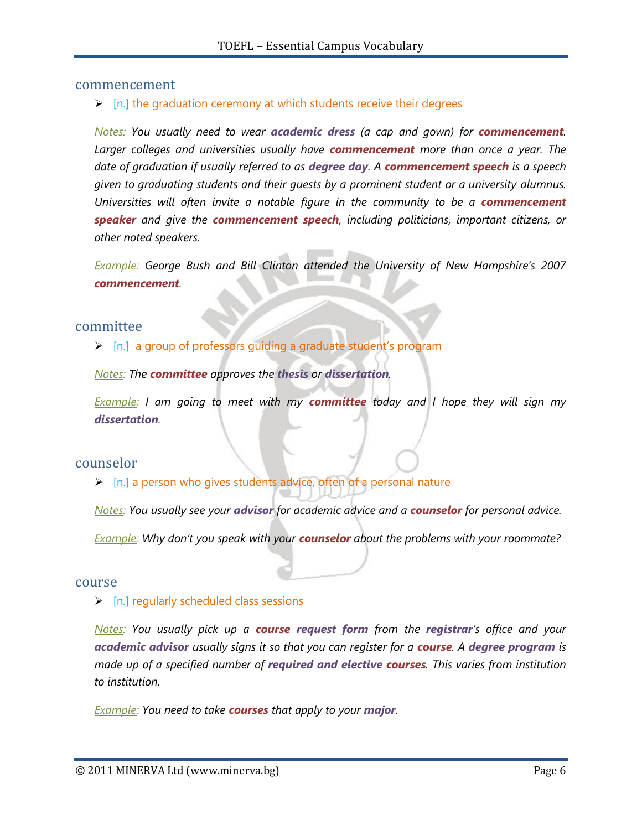#### commencement

#### $\triangleright$  [n.] the graduation ceremony at which students receive their degrees

*Notes: You usually need to wear academic dress (a cap and gown) for commencement. Larger colleges and universities usually have commencement more than once a year. The date of graduation if usually referred to as degree day. A commencement speech is a speech given to graduating students and their guests by a prominent student or a university alumnus. Universities will often invite a notable figure in the community to be a commencement speaker and give the commencement speech, including politicians, important citizens, or other noted speakers.*

*Example:* George Bush and Bill Clinton attended the University of New Hampshire's 2007 *commencement.*

#### committee

[n.] a group of professors guiding a graduate student's program

*Notes: The committee approves the thesis or dissertation.*

*Example: I am going to meet with my committee today and I hope they will sign my dissertation.*

#### counselor

 $\triangleright$  [n.] a person who gives students advice, often of a personal nature

*Notes: You usually see your advisor for academic advice and a counselor for personal advice.*

*Example: Why don"t you speak with your counselor about the problems with your roommate?*

#### course

 $\triangleright$  [n.] regularly scheduled class sessions

*Notes: You usually pick up a course request form from the registrar"s office and your academic advisor usually signs it so that you can register for a course. A degree program is made up of a specified number of required and elective courses. This varies from institution to institution.*

*Example: You need to take courses that apply to your major.*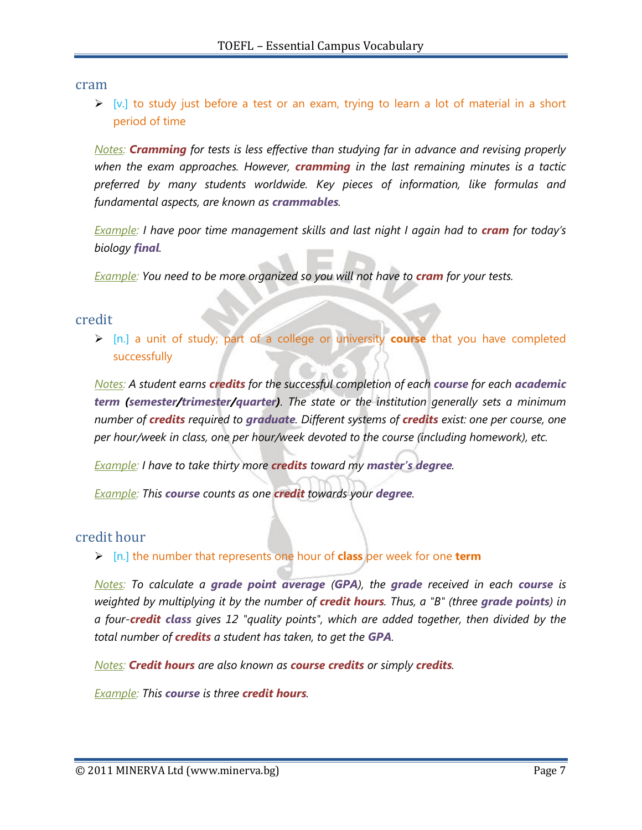cram

 $\triangleright$  [v.] to study just before a test or an exam, trying to learn a lot of material in a short period of time

*Notes: Cramming for tests is less effective than studying far in advance and revising properly when the exam approaches. However, cramming in the last remaining minutes is a tactic preferred by many students worldwide. Key pieces of information, like formulas and fundamental aspects, are known as crammables.*

*<u>Example</u>: I have poor time management skills and last night I again had to cram for today's biology final.*

*Example: You need to be more organized so you will not have to cram for your tests.* 

#### credit

 [n.] a unit of study; part of a college or university **course** that you have completed successfully

*Notes: A student earns credits for the successful completion of each course for each academic term (semester/trimester/quarter). The state or the institution generally sets a minimum number of credits required to graduate. Different systems of credits exist: one per course, one per hour/week in class, one per hour/week devoted to the course (including homework), etc.*

*Example: I have to take thirty more credits toward my master's degree.*

*Example: This course counts as one credit towards your degree.*

## credit hour

[n.] the number that represents one hour of **class** per week for one **term**

*Notes: To calculate a grade point average (GPA), the grade received in each course is weighted by multiplying it by the number of credit hours. Thus, a "B" (three grade points) in a four-credit class gives 12 "quality points", which are added together, then divided by the total number of credits a student has taken, to get the GPA.*

*Notes: Credit hours are also known as course credits or simply credits.*

*Example: This course is three credit hours.*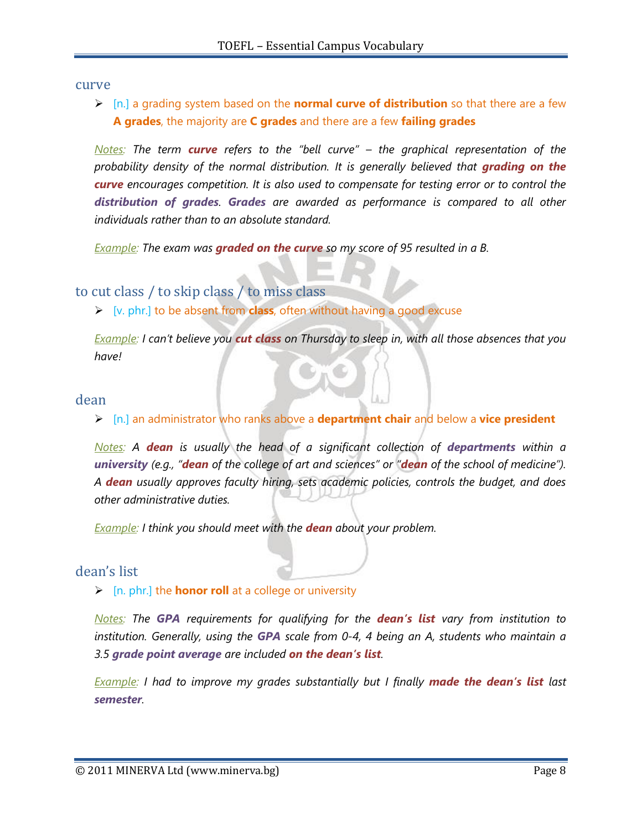curve

 [n.] a grading system based on the **normal curve of distribution** so that there are a few **A grades**, the majority are **C grades** and there are a few **failing grades**

*Notes: The term curve refers to the "bell curve" – the graphical representation of the probability density of the normal distribution. It is generally believed that grading on the curve encourages competition. It is also used to compensate for testing error or to control the distribution of grades. Grades are awarded as performance is compared to all other individuals rather than to an absolute standard.*

*Example: The exam was graded on the curve so my score of 95 resulted in a B.*

# to cut class / to skip class / to miss class

[v. phr.] to be absent from **class**, often without having a good excuse

*Example: I can"t believe you cut class on Thursday to sleep in, with all those absences that you have!*

#### dean

[n.] an administrator who ranks above a **department chair** and below a **vice president**

*Notes:* A *dean* is usually the head of a significant collection of **departments** within a *university (e.g., "dean of the college of art and sciences" or "dean of the school of medicine"). A dean usually approves faculty hiring, sets academic policies, controls the budget, and does other administrative duties.*

*Example: I think you should meet with the dean about your problem.*

## dean's list

#### [n. phr.] the **honor roll** at a college or university

*Notes: The GPA requirements for qualifying for the dean's list vary from institution to institution. Generally, using the GPA scale from 0-4, 4 being an A, students who maintain a 3.5 grade point average are included on the dean's list.*

*Example: I had to improve my grades substantially but I finally made the dean's list last semester.*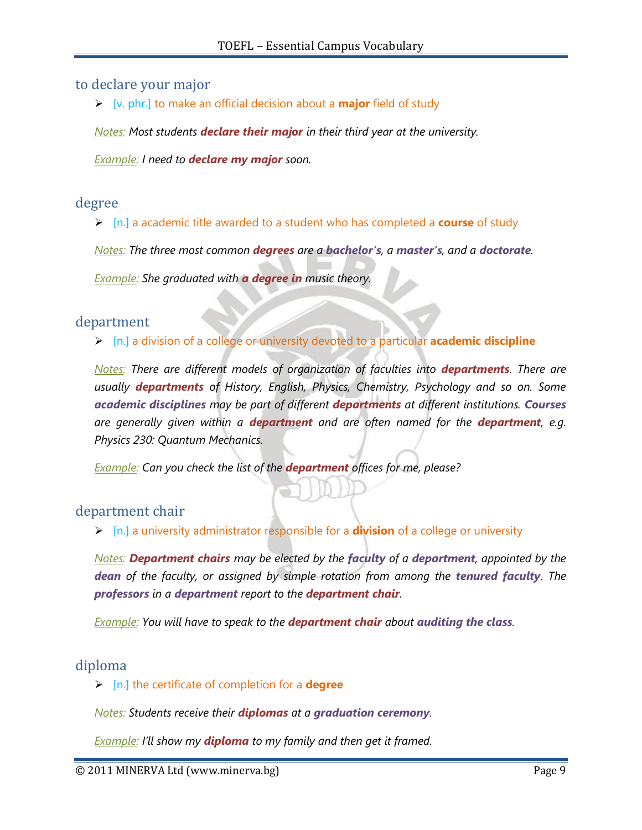# to declare your major

[v. phr.] to make an official decision about a **major** field of study

*Notes: Most students declare their major in their third year at the university.*

*Example: I need to declare my major soon.*

#### degree

[n.] a academic title awarded to a student who has completed a **course** of study

*Notes: The three most common degrees are a bachelor's, a master's, and a doctorate.*

*Example: She graduated with a degree in music theory.*

### department

[n.] a division of a college or university devoted to a particular **academic discipline**

*Notes: There are different models of organization of faculties into <i>departments*. There are *usually departments of History, English, Physics, Chemistry, Psychology and so on. Some academic disciplines may be part of different departments at different institutions. Courses are generally given within a department and are often named for the department, e.g. Physics 230: Quantum Mechanics.*

*Example: Can you check the list of the department offices for me, please?*

## department chair

[n.] a university administrator responsible for a **division** of a college or university

*Notes: Department chairs may be elected by the faculty of a department, appointed by the*  **dean** of the faculty, or assigned by simple rotation from among the **tenured faculty**. The *professors in a department report to the department chair.*

*Example: You will have to speak to the department chair about auditing the class.*

## diploma

[n.] the certificate of completion for a **degree**

*Motes: Students receive their <i>diplomas* at a *graduation ceremony*.

*Example: I"ll show my diploma to my family and then get it framed.*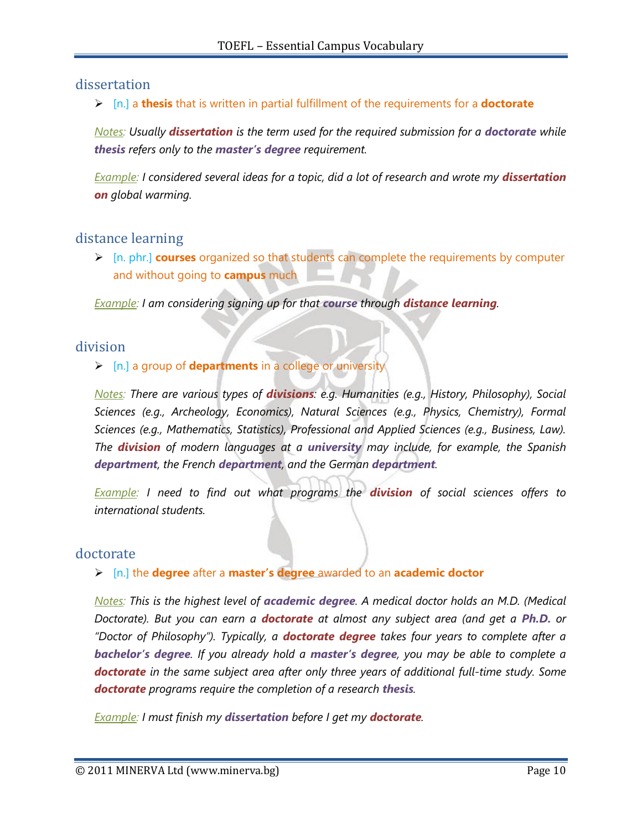# dissertation

[n.] a **thesis** that is written in partial fulfillment of the requirements for a **doctorate**

*Notes: Usually dissertation is the term used for the required submission for a doctorate while thesis refers only to the master's degree requirement.*

*Example: I considered several ideas for a topic, did a lot of research and wrote my dissertation on global warming.*

# distance learning

 [n. phr.] **courses** organized so that students can complete the requirements by computer and without going to **campus** much

*Example: I am considering signing up for that course through distance learning.*

## division

[n.] a group of **departments** in a college or university

*Notes: There are various types of divisions: e.g. Humanities (e.g., History, Philosophy), Social Sciences (e.g., Archeology, Economics), Natural Sciences (e.g., Physics, Chemistry), Formal Sciences (e.g., Mathematics, Statistics), Professional and Applied Sciences (e.g., Business, Law). The division of modern languages at a university may include, for example, the Spanish department, the French department, and the German department.*

*Example: I need to find out what programs the division of social sciences offers to international students.*

## doctorate

[n.] the **degree** after a **master's degree** awarded to an **academic doctor**

*Notes: This is the highest level of academic degree. A medical doctor holds an M.D. (Medical Doctorate). But you can earn a doctorate at almost any subject area (and get a Ph.D. or "Doctor of Philosophy"). Typically, a doctorate degree takes four years to complete after a bachelor's degree. If you already hold a master's degree, you may be able to complete a doctorate in the same subject area after only three years of additional full-time study. Some doctorate programs require the completion of a research thesis.*

*Example: I must finish my dissertation before I get my doctorate.*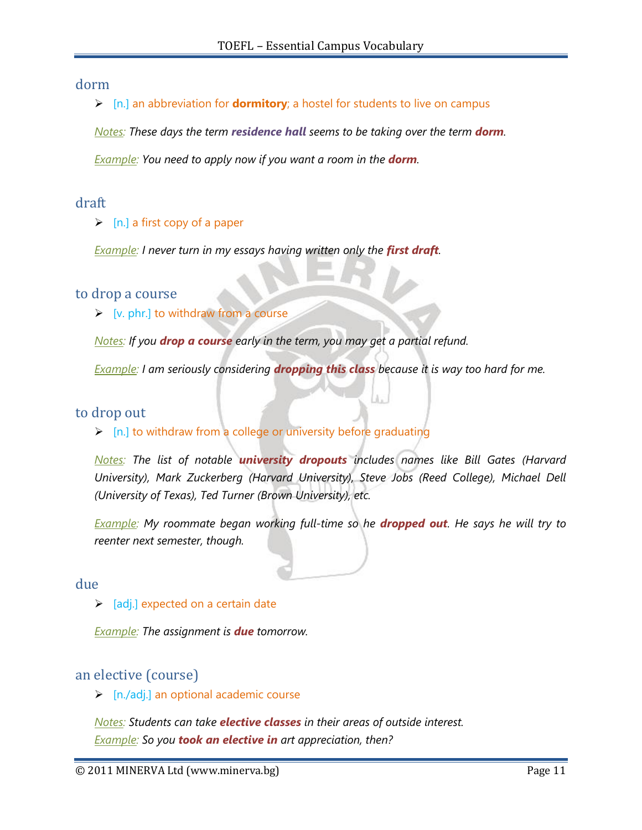### dorm

[n.] an abbreviation for **dormitory**; a hostel for students to live on campus

*Notes: These days the term residence hall seems to be taking over the term dorm.*

*Example: You need to apply now if you want a room in the dorm.*

## draft

 $\triangleright$  [n.] a first copy of a paper

*Example: I never turn in my essays having written only the <i>first draft*.

### to drop a course

 $\triangleright$  [v. phr.] to withdraw from a course

*Notes: If you drop a course early in the term, you may get a partial refund.*

*Example: I am seriously considering dropping this class because it is way too hard for me.*

## to drop out

 $\triangleright$  [n.] to withdraw from a college or university before graduating

*Notes: The list of notable university dropouts includes names like Bill Gates (Harvard University), Mark Zuckerberg (Harvard University), Steve Jobs (Reed College), Michael Dell (University of Texas), Ted Turner (Brown University), etc.*

*Example: My roommate began working full-time so he dropped out. He says he will try to reenter next semester, though.*

### due

 $\triangleright$  [adj.] expected on a certain date

*Example: The assignment is due tomorrow.*

## an elective (course)

 $\triangleright$  [n./adj.] an optional academic course

*Notes: Students can take elective classes in their areas of outside interest. Example: So you took an elective in art appreciation, then?*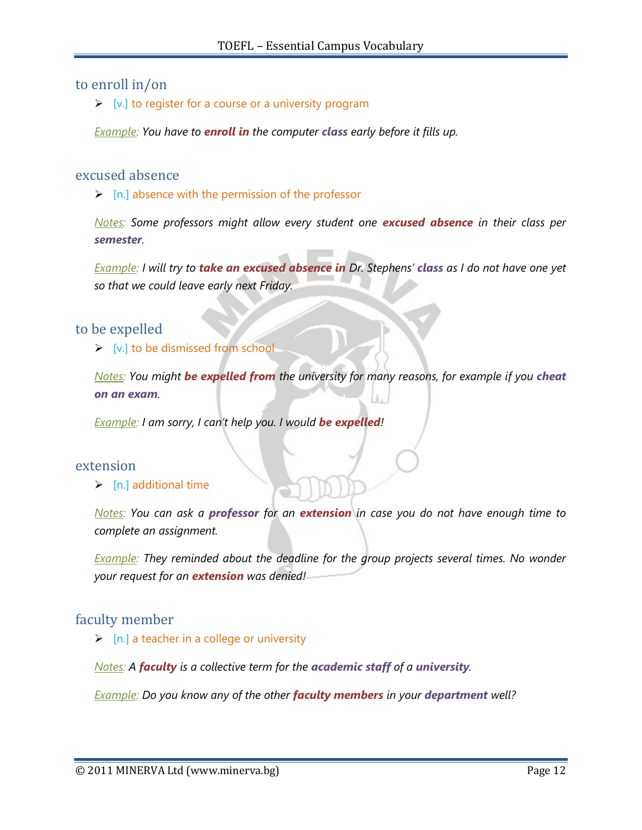### to enroll in/on

 $\triangleright$  [v.] to register for a course or a university program

*Example: You have to enroll in the computer class early before it fills up.*

### excused absence

 $\triangleright$  [n.] absence with the permission of the professor

*Notes: Some professors might allow every student one excused absence in their class per semester.*

*Example: I will try to take an excused absence in Dr. Stephens" class as I do not have one yet so that we could leave early next Friday.*

## to be expelled

 $\triangleright$  [v.] to be dismissed from school

*Notes: You might be expelled from the university for many reasons, for example if you cheat on an exam.*

*Example: I am sorry, I can"t help you. I would be expelled!*

#### extension

 $\triangleright$  [n.] additional time

*Notes: You can ask a professor for an extension in case you do not have enough time to complete an assignment.*

*Example: They reminded about the deadline for the group projects several times. No wonder your request for an extension was denied!*

## faculty member

 $\triangleright$  [n.] a teacher in a college or university

*Motes:* A *faculty* is a collective term for the *academic staff* of a *university*.

*<u>Example</u>: Do you know any of the other <i>faculty members* in your *department* well?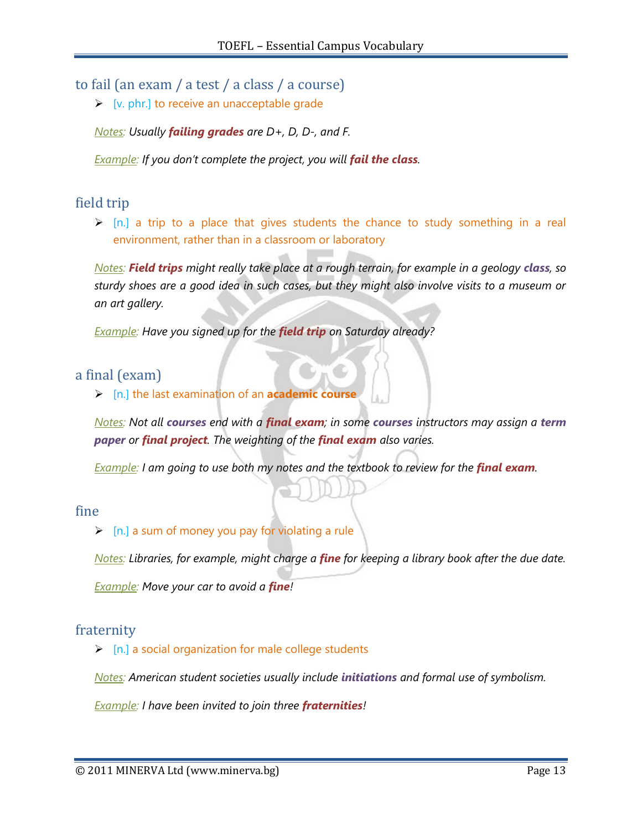# to fail (an exam / a test / a class / a course)

 $\triangleright$  [v. phr.] to receive an unacceptable grade

*Notes: Usually failing grades are D+, D, D-, and F.*

*Example: If you don't complete the project, you will fail the class.* 

# field trip

 $\triangleright$  [n.] a trip to a place that gives students the chance to study something in a real environment, rather than in a classroom or laboratory

*Notes:* **Field trips** *might really take place at a rough terrain, for example in a geology <i>class*, so *sturdy shoes are a good idea in such cases, but they might also involve visits to a museum or an art gallery.*

*Example: Have you signed up for the field trip on Saturday already?*

## a final (exam)

[n.] the last examination of an **academic course**

*Notes: Not all courses end with a final exam; in some courses instructors may assign a term paper or final project. The weighting of the final exam also varies.*

*Example: I am going to use both my notes and the textbook to review for the final exam.* 

## fine

 $\triangleright$  [n.] a sum of money you pay for violating a rule

*Notes: Libraries, for example, might charge a fine for keeping a library book after the due date. Example: Move your car to avoid a fine!*

# fraternity

 $\triangleright$  [n.] a social organization for male college students

*Notes: American student societies usually include initiations and formal use of symbolism.*

*Example: I have been invited to join three fraternities!*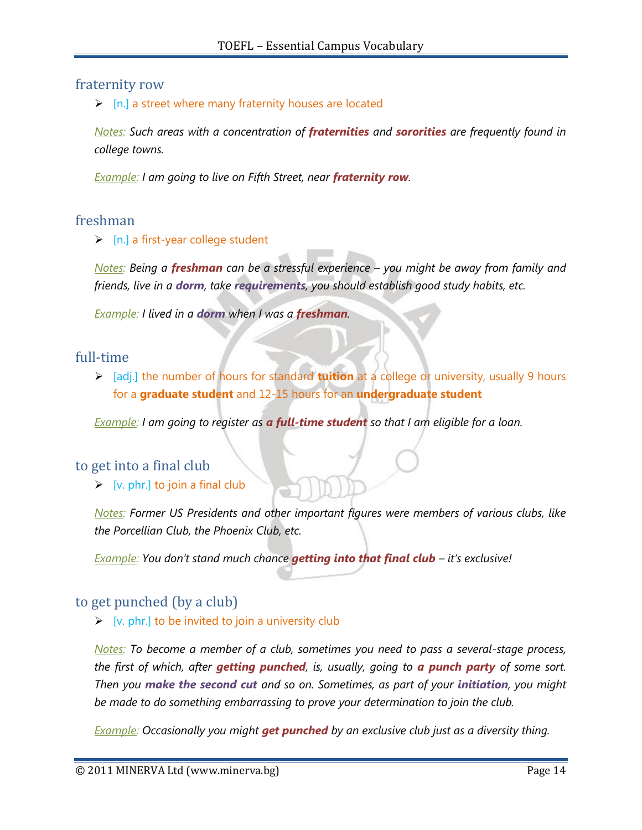### fraternity row

 $\triangleright$  [n.] a street where many fraternity houses are located

*Notes: Such areas with a concentration of fraternities and sororities are frequently found in college towns.*

*Example: I am going to live on Fifth Street, near fraternity row.*

## freshman

 $\triangleright$  [n.] a first-year college student

*Notes: Being a freshman can be a stressful experience – you might be away from family and friends, live in a dorm, take requirements, you should establish good study habits, etc.*

*Example: I lived in a dorm when I was a freshman.*

### full-time

 [adj.] the number of hours for standard **tuition** at a college or university, usually 9 hours for a **graduate student** and 12-15 hours for an **undergraduate student**

*Example: I am going to register as a full-time student so that I am eligible for a loan.*

#### to get into a final club

 $\triangleright$  [v. phr.] to join a final club

*Notes: Former US Presidents and other important figures were members of various clubs, like the Porcellian Club, the Phoenix Club, etc.* 

*Example: You don"t stand much chance getting into that final club – it"s exclusive!*

## to get punched (by a club)

 $\triangleright$  [v. phr.] to be invited to join a university club

*Notes: To become a member of a club, sometimes you need to pass a several-stage process, the first of which, after getting punched, is, usually, going to a punch party of some sort. Then you make the second cut and so on. Sometimes, as part of your initiation, you might be made to do something embarrassing to prove your determination to join the club.*

*Example: Occasionally you might get punched by an exclusive club just as a diversity thing.*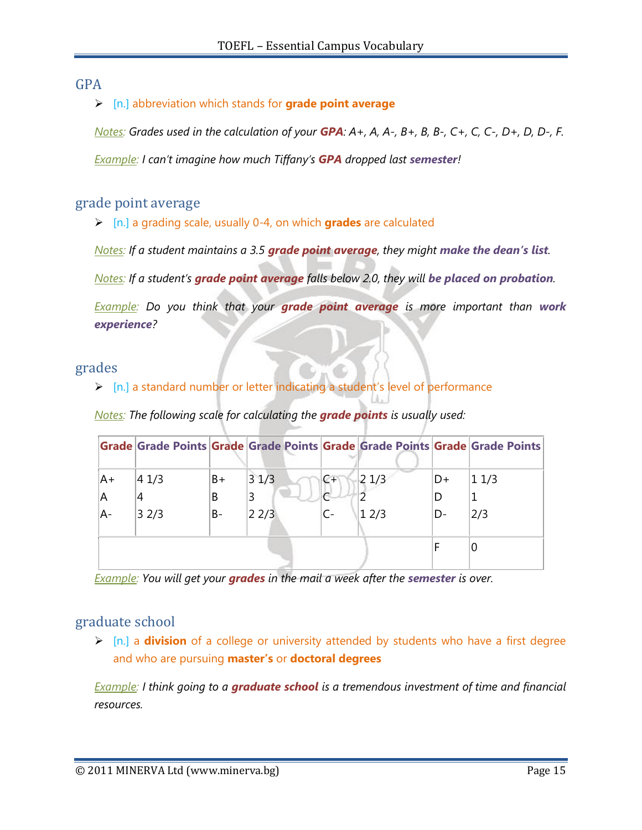# GPA

## [n.] abbreviation which stands for **grade point average**

*Notes: Grades used in the calculation of your GPA: A+, A, A-, B+, B, B-, C+, C, C-, D+, D, D-, F.*

*Example: I can"t imagine how much Tiffany"s GPA dropped last semester!*

## grade point average

[n.] a grading scale, usually 0-4, on which **grades** are calculated

*Notes: If a student maintains a 3.5 grade point average, they might make the dean's list.* 

*Notes:* If a student's **grade point average** falls below 2.0, they will be placed on probation.

*Example: Do you think that your grade point average is more important than work experience?*

### grades

 $\triangleright$  [n.] a standard number or letter indicating a student's level of performance

*Notes: The following scale for calculating the grade points is usually used:*

|    |       |      |            |       |      |    | Grade Grade Points Grade Grade Points Grade Grade Points Grade Grade Points |
|----|-------|------|------------|-------|------|----|-----------------------------------------------------------------------------|
| A+ | 4 1/3 | $B+$ | 31/3       | $C +$ | 21/3 | D+ | $ 1\>1/3$                                                                   |
| A  | 4     | B    | 3          |       |      | D  |                                                                             |
| A- | 32/3  | B-   | $ 2\,2/3 $ |       | 12/3 | D- | 2/3                                                                         |
|    |       |      |            |       |      |    |                                                                             |

*Example: You will get your grades in the mail a week after the semester is over.*

# graduate school

 [n.] a **division** of a college or university attended by students who have a first degree and who are pursuing **master's** or **doctoral degrees**

*Example: I think going to a graduate school is a tremendous investment of time and financial resources.*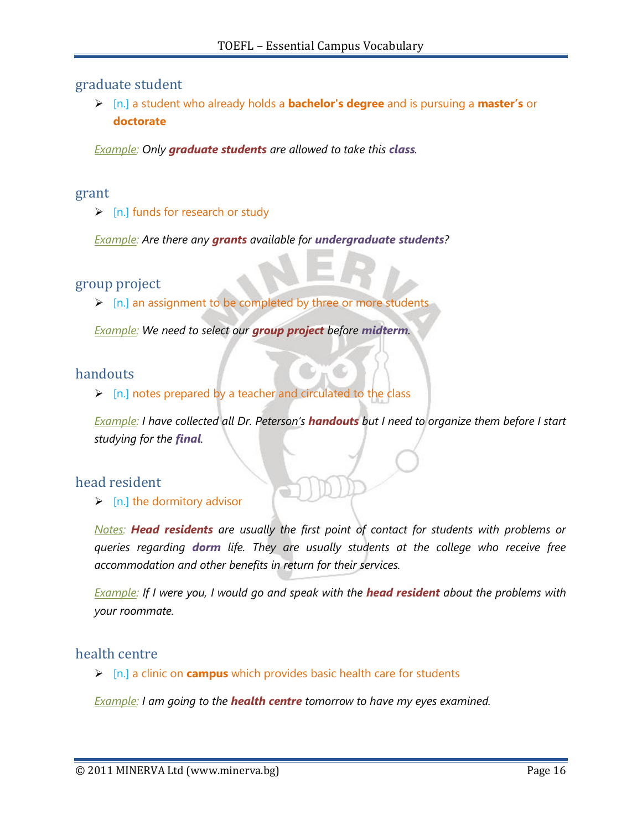### graduate student

 [n.] a student who already holds a **bachelor's degree** and is pursuing a **master's** or **doctorate**

*Example: Only graduate students are allowed to take this class.*

#### grant

 $\triangleright$  [n.] funds for research or study

*Example: Are there any grants available for undergraduate students?*

### group project

 $\triangleright$  [n.] an assignment to be completed by three or more students

*Example: We need to select our group project before midterm.*

## handouts

 $\triangleright$  [n.] notes prepared by a teacher and circulated to the class

*Example: I have collected all Dr. Peterson"s handouts but I need to organize them before I start studying for the final.*

#### head resident

 $\triangleright$  [n.] the dormitory advisor

*Notes: Head residents are usually the first point of contact for students with problems or queries regarding dorm life. They are usually students at the college who receive free accommodation and other benefits in return for their services.*

*Example: If I were you, I would go and speak with the head resident about the problems with your roommate.*

#### health centre

[n.] a clinic on **campus** which provides basic health care for students

*Example: I am going to the health centre tomorrow to have my eyes examined.*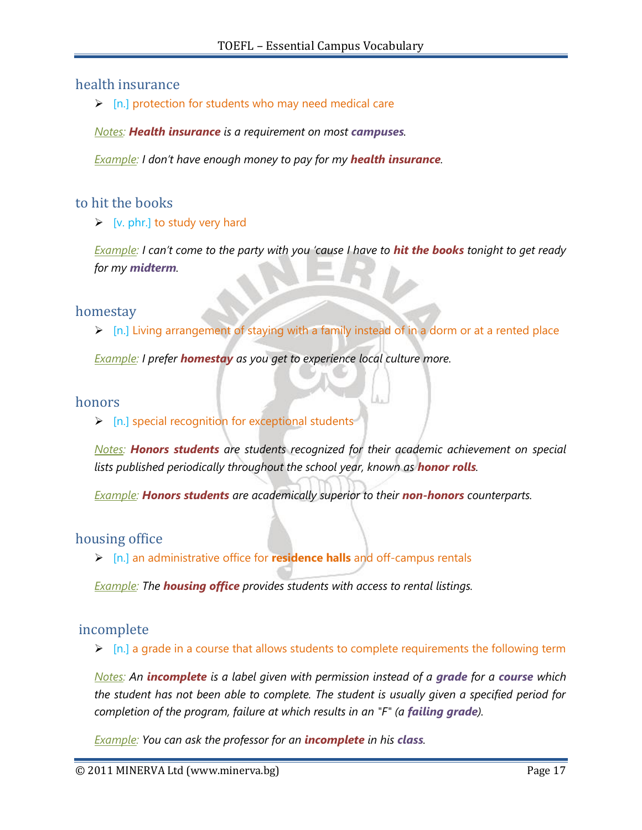# health insurance

 $\triangleright$  [n.] protection for students who may need medical care

*Notes: Health insurance is a requirement on most campuses.* 

*Example: I don"t have enough money to pay for my health insurance.*

# to hit the books

 $\triangleright$  [v. phr.] to study very hard

*Example: I can"t come to the party with you "cause I have to hit the books tonight to get ready for my midterm.*

### homestay

 $\triangleright$  [n.] Living arrangement of staying with a family instead of in a dorm or at a rented place

*Example: I prefer homestay as you get to experience local culture more.*

### honors

 $\triangleright$  [n.] special recognition for exceptional students

*Notes: Honors students are students recognized for their academic achievement on special lists published periodically throughout the school year, known as honor rolls.*

*Example: Honors students are academically superior to their non-honors counterparts.*

## housing office

[n.] an administrative office for **residence halls** and off-campus rentals

*Example: The housing office provides students with access to rental listings.*

## incomplete

 $\triangleright$  [n.] a grade in a course that allows students to complete requirements the following term

*Notes: An incomplete is a label given with permission instead of a grade for a course which the student has not been able to complete. The student is usually given a specified period for completion of the program, failure at which results in an "F" (a failing grade).*

*Example: You can ask the professor for an incomplete in his class.*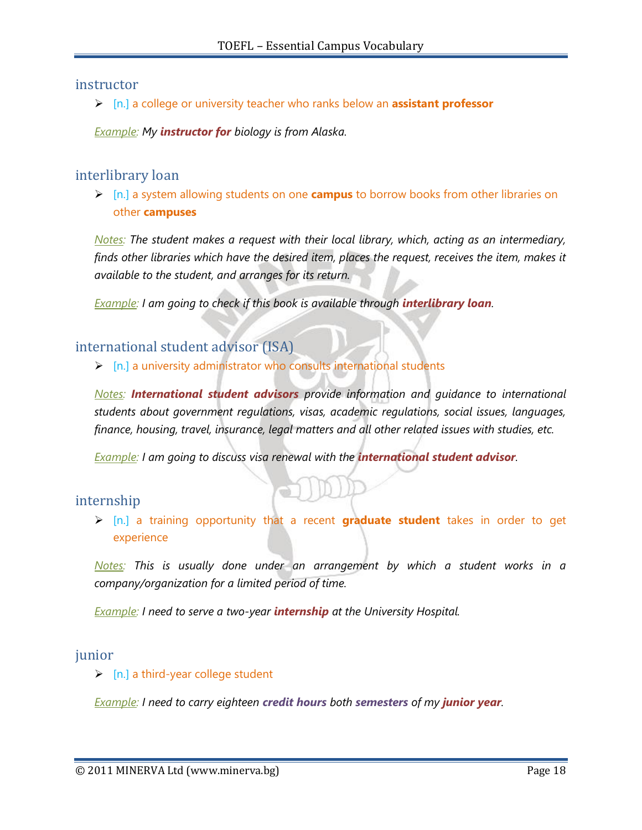### instructor

[n.] a college or university teacher who ranks below an **assistant professor**

*Example: My instructor for biology is from Alaska.*

# interlibrary loan

 [n.] a system allowing students on one **campus** to borrow books from other libraries on other **campuses**

*Notes: The student makes a request with their local library, which, acting as an intermediary, finds other libraries which have the desired item, places the request, receives the item, makes it available to the student, and arranges for its return.*

*Example: I am going to check if this book is available through <b>interlibrary loan.* 

# international student advisor (ISA)

 $\triangleright$  [n.] a university administrator who consults international students

*Notes: International student advisors provide information and guidance to international students about government regulations, visas, academic regulations, social issues, languages, finance, housing, travel, insurance, legal matters and all other related issues with studies, etc.*

*Example: I am going to discuss visa renewal with the international student advisor.*

## internship

 [n.] a training opportunity that a recent **graduate student** takes in order to get experience

*Notes: This is usually done under an arrangement by which a student works in a company/organization for a limited period of time.*

*Example: I need to serve a two-year internship at the University Hospital.*

#### junior

 $\triangleright$  [n.] a third-year college student

*Example: I need to carry eighteen credit hours both semesters of my junior year.*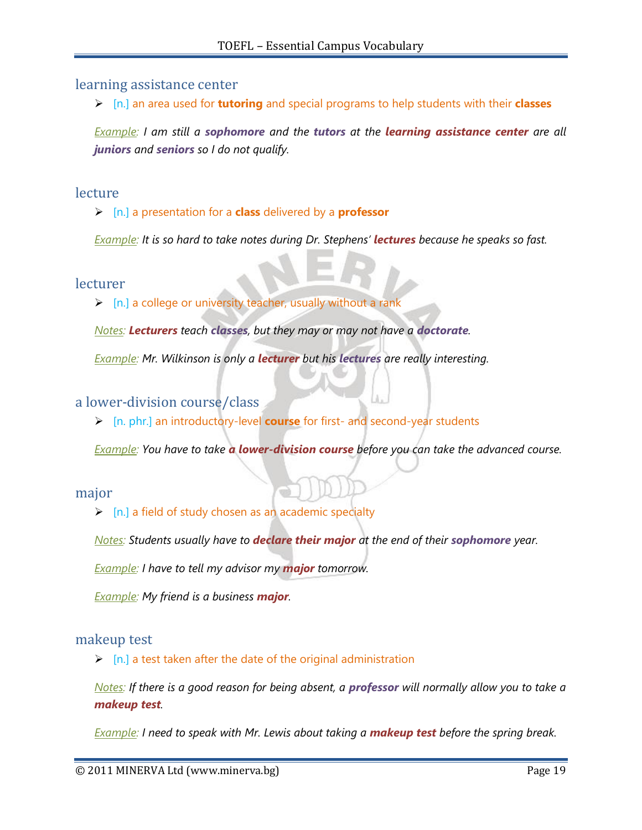### learning assistance center

[n.] an area used for **tutoring** and special programs to help students with their **classes**

*Example: I am still a sophomore and the tutors at the learning assistance center are all juniors and seniors so I do not qualify.*

### lecture

[n.] a presentation for a **class** delivered by a **professor**

*Example: It is so hard to take notes during Dr. Stephens" lectures because he speaks so fast.*

#### lecturer

 $\triangleright$  [n.] a college or university teacher, usually without a rank

*Notes: Lecturers teach classes, but they may or may not have a doctorate.*

*Example: Mr. Wilkinson is only a lecturer but his lectures are really interesting.*

#### a lower-division course/class

[n. phr.] an introductory-level **course** for first- and second-year students

*Example: You have to take a lower-division course before you can take the advanced course.*

#### major

 $\triangleright$  [n.] a field of study chosen as an academic specialty

*Notes: Students usually have to declare their major at the end of their sophomore year.*

*Example: I have to tell my advisor my major tomorrow.*

*Example: My friend is a business major.*

#### makeup test

 $\triangleright$  [n.] a test taken after the date of the original administration

*Notes: If there is a good reason for being absent, a professor will normally allow you to take a makeup test.*

*Example: I need to speak with Mr. Lewis about taking a makeup test before the spring break.*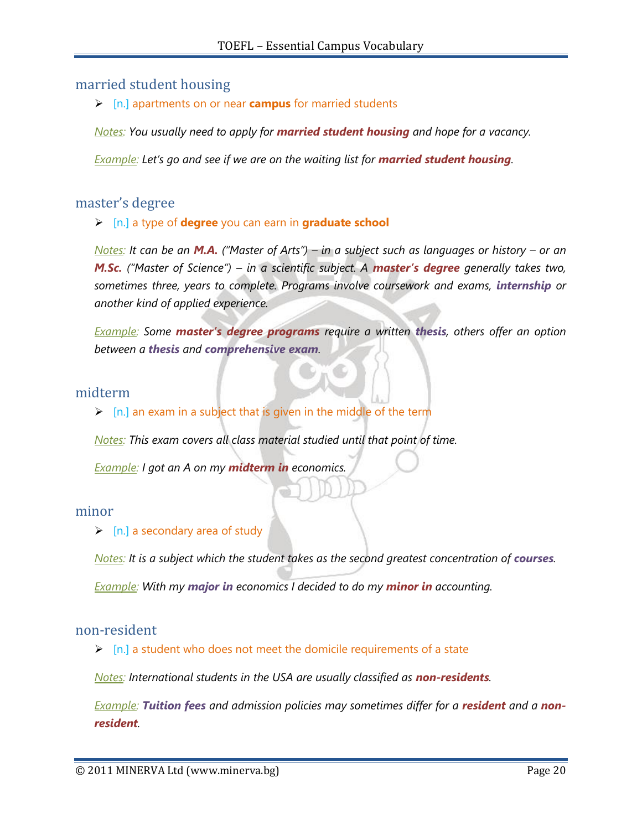## married student housing

[n.] apartments on or near **campus** for married students

*Notes: You usually need to apply for married student housing and hope for a vacancy.*

*Example: Let"s go and see if we are on the waiting list for married student housing.*

#### master's degree

#### [n.] a type of **degree** you can earn in **graduate school**

*Notes: It can be an M.A. ("Master of Arts") – in a subject such as languages or history – or an M.Sc. ("Master of Science") – in a scientific subject. A master's degree generally takes two, sometimes three, years to complete. Programs involve coursework and exams, internship or another kind of applied experience.* 

*Example: Some master's degree programs require a written thesis, others offer an option between a thesis and comprehensive exam.*

### midterm

 $\triangleright$  [n.] an exam in a subject that is given in the middle of the term

*Notes: This exam covers all class material studied until that point of time.*

*Example: I got an A on my midterm in economics.*

#### minor

#### $\triangleright$  [n.] a secondary area of study

*Notes:* It is a subject which the student takes as the second greatest concentration of **courses**. *Example: With my major in economics I decided to do my minor in accounting.*

#### non-resident

 $\triangleright$  [n.] a student who does not meet the domicile requirements of a state

*Notes: International students in the USA are usually classified as non-residents.* 

*Example: Tuition fees and admission policies may sometimes differ for a resident and a nonresident.*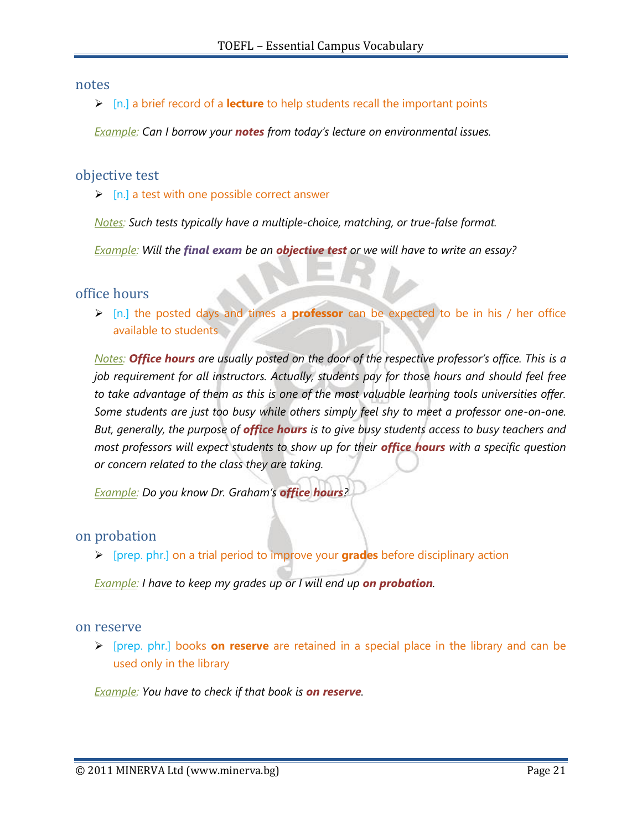#### notes

[n.] a brief record of a **lecture** to help students recall the important points

*Example: Can I borrow your notes from today"s lecture on environmental issues.*

### objective test

 $\triangleright$  [n.] a test with one possible correct answer

*Notes: Such tests typically have a multiple-choice, matching, or true-false format.*

*Example: Will the final exam be an objective test or we will have to write an essay?*

office hours

 [n.] the posted days and times a **professor** can be expected to be in his / her office available to students

*Notes:* **Office hours** are usually posted on the door of the respective professor's office. This is a *job requirement for all instructors. Actually, students pay for those hours and should feel free*  to take advantage of them as this is one of the most valuable learning tools universities offer. *Some students are just too busy while others simply feel shy to meet a professor one-on-one. But, generally, the purpose of office hours is to give busy students access to busy teachers and most professors will expect students to show up for their office hours with a specific question or concern related to the class they are taking.*

*Example: Do you know Dr. Graham"s office hours?*

#### on probation

[prep. phr.] on a trial period to improve your **grades** before disciplinary action

*Example: I have to keep my grades up or I will end up on probation.*

#### on reserve

 [prep. phr.] books **on reserve** are retained in a special place in the library and can be used only in the library

*Example: You have to check if that book is on reserve.*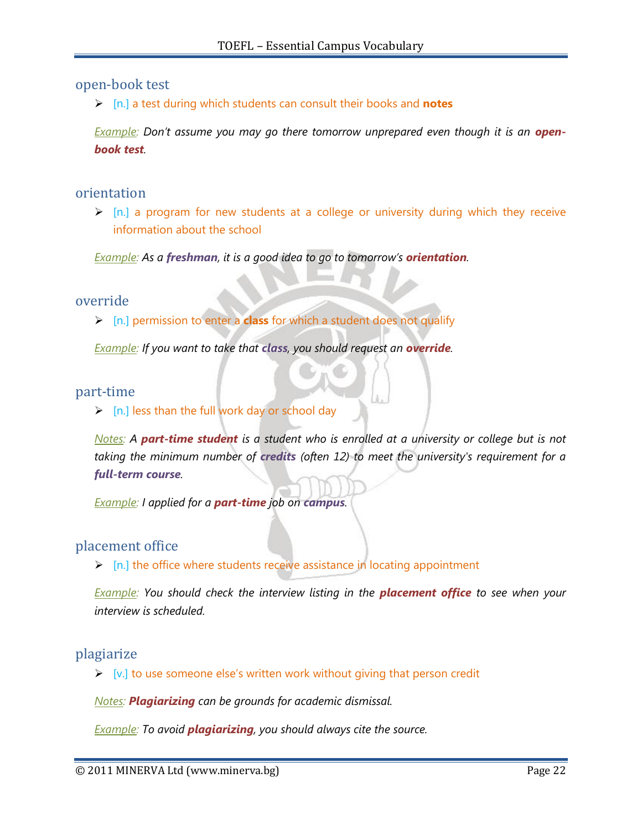### open-book test

[n.] a test during which students can consult their books and **notes**

*Example: Don't assume you may go there tomorrow unprepared even though it is an openbook test.*

#### orientation

 $\triangleright$  [n.] a program for new students at a college or university during which they receive information about the school

*Example: As a freshman, it is a good idea to go to tomorrow"s orientation.*

#### override

[n.] permission to enter a **class** for which a student does not qualify

*Example: If you want to take that class, you should request an override.*

#### part-time

 $\triangleright$  [n.] less than the full work day or school day

*Notes: A part-time student is a student who is enrolled at a university or college but is not taking the minimum number of credits (often 12) to meet the university's requirement for a full-term course.*

*Example: I applied for a part-time job on campus.*

## placement office

 $\triangleright$  [n.] the office where students receive assistance in locating appointment

*Example: You should check the interview listing in the placement office to see when your interview is scheduled.*

#### plagiarize

 $\triangleright$  [v.] to use someone else's written work without giving that person credit

*Notes: Plagiarizing can be grounds for academic dismissal.*

*Example: To avoid plagiarizing, you should always cite the source.*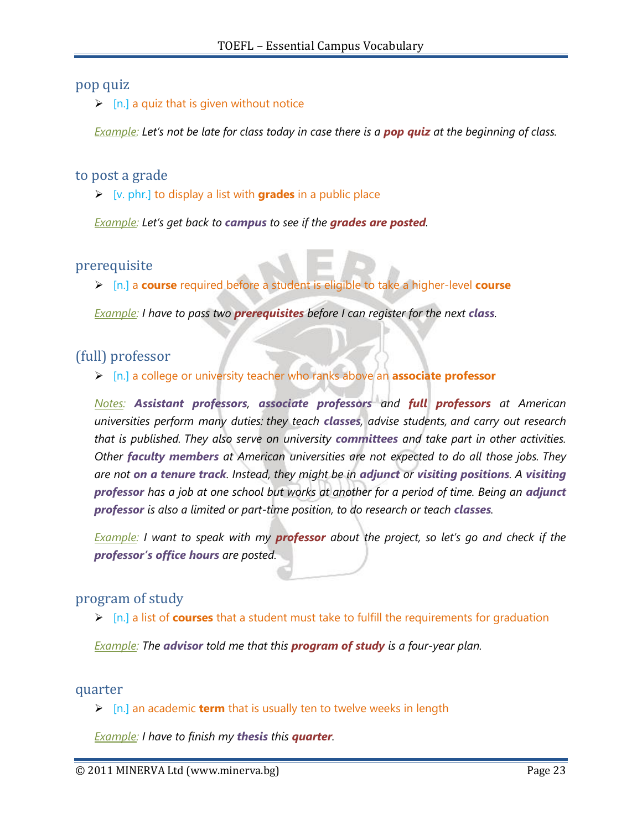# pop quiz

 $\triangleright$  [n.] a quiz that is given without notice

*Example: Let's not be late for class today in case there is a pop quiz at the beginning of class.* 

## to post a grade

[v. phr.] to display a list with **grades** in a public place

*Example: Let"s get back to campus to see if the grades are posted.*

# prerequisite

[n.] a **course** required before a student is eligible to take a higher-level **course**

*Example: I have to pass two prerequisites before I can register for the next class.*

# (full) professor

[n.] a college or university teacher who ranks above an **associate professor**

*Notes: Assistant professors, associate professors and full professors at American universities perform many duties: they teach classes, advise students, and carry out research that is published. They also serve on university committees and take part in other activities. Other faculty members at American universities are not expected to do all those jobs. They are not on a tenure track. Instead, they might be in adjunct or visiting positions. A visiting professor has a job at one school but works at another for a period of time. Being an adjunct*  **professor** is also a limited or part-time position, to do research or teach **classes**.

*Example: I want to speak with my professor about the project, so let"s go and check if the professor's office hours are posted.* 

# program of study

[n.] a list of **courses** that a student must take to fulfill the requirements for graduation

*Example: The advisor told me that this program of study is a four-year plan.*

#### quarter

[n.] an academic **term** that is usually ten to twelve weeks in length

*Example: I have to finish my thesis this quarter.*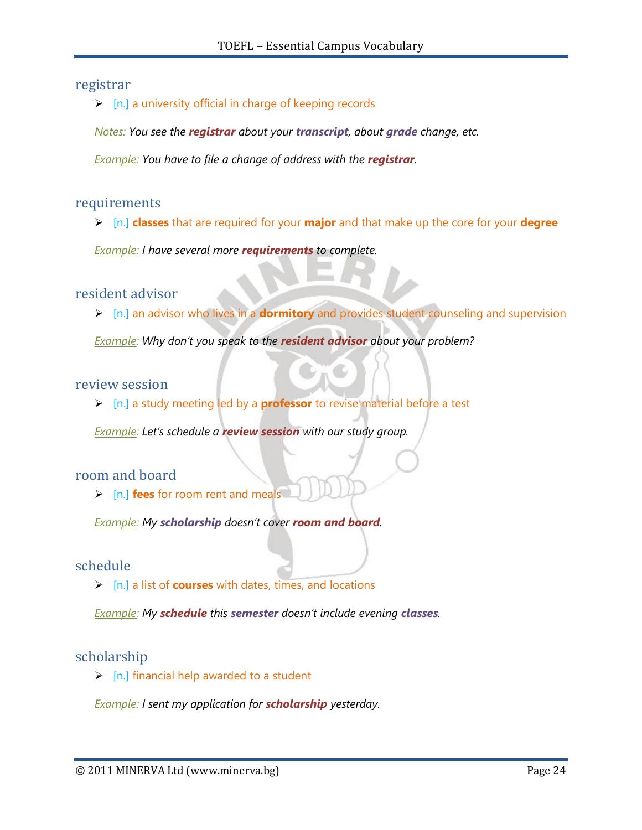### registrar

 $\triangleright$  [n.] a university official in charge of keeping records

*Notes: You see the registrar about your transcript, about grade change, etc.*

*<u>Example</u>: You have to file a change of address with the <i>registrar*.

#### requirements

[n.] **classes** that are required for your **major** and that make up the core for your **degree**

*Example: I have several more requirements to complete.*

resident advisor

[n.] an advisor who lives in a **dormitory** and provides student counseling and supervision

*Example: Why don"t you speak to the resident advisor about your problem?*

### review session

[n.] a study meeting led by a **professor** to revise material before a test

*Example: Let's schedule a review session with our study group.* 

## room and board

[n.] **fees** for room rent and meals

*Example: My scholarship doesn"t cover room and board.*

#### schedule

[n.] a list of **courses** with dates, times, and locations

*Example: My schedule this semester doesn"t include evening classes.*

#### scholarship

 $\triangleright$  [n.] financial help awarded to a student

*Example: I sent my application for scholarship yesterday.*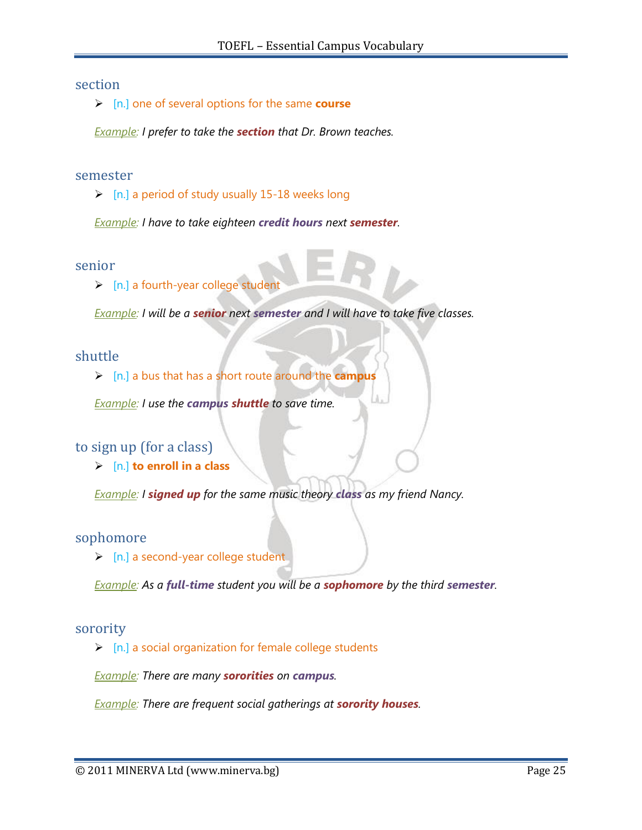### section

[n.] one of several options for the same **course**

*Example: I prefer to take the section that Dr. Brown teaches.*

#### semester

 $\triangleright$  [n.] a period of study usually 15-18 weeks long

*Example: I have to take eighteen credit hours next semester.*

#### senior

> [n.] a fourth-year college student

*Example: I will be a senior next semester and I will have to take five classes.*

#### shuttle

[n.] a bus that has a short route around the **campus**

*Example: I use the campus shuttle to save time.*

# to sign up (for a class)

[n.] **to enroll in a class**

*Example: I signed up for the same music theory class as my friend Nancy.*

#### sophomore

 $\triangleright$  [n.] a second-year college student

*Example: As a full-time student you will be a sophomore by the third semester.*

#### sorority

 $\triangleright$  [n.] a social organization for female college students

*Example: There are many sororities on campus.*

*Example: There are frequent social gatherings at sorority houses.*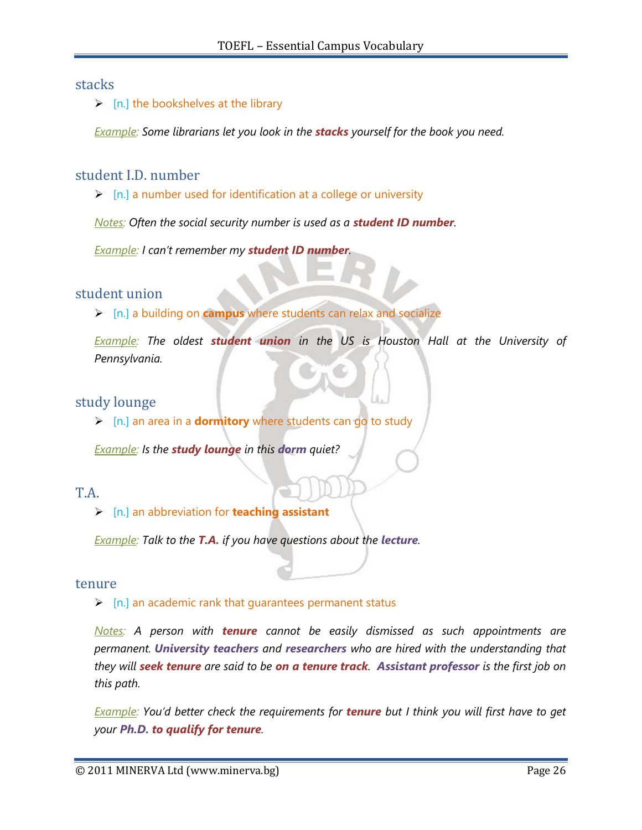## stacks

### $\triangleright$  [n.] the bookshelves at the library

*Example: Some librarians let you look in the stacks yourself for the book you need.*

# student I.D. number

 $\triangleright$  [n.] a number used for identification at a college or university

*Notes: Often the social security number is used as a student ID number.*

*Example: I can"t remember my student ID number.*

## student union

[n.] a building on **campus** where students can relax and socialize

*Example: The oldest student union in the US is Houston Hall at the University of Pennsylvania.*

# study lounge

[n.] an area in a **dormitory** where students can go to study

*Example: Is the study lounge in this dorm quiet?*

# T.A.

[n.] an abbreviation for **teaching assistant**

*Example: Talk to the T.A. if you have questions about the <i>lecture*.

#### tenure

 $\triangleright$  [n.] an academic rank that guarantees permanent status

*Notes: A person with tenure cannot be easily dismissed as such appointments are permanent. University teachers and researchers who are hired with the understanding that they will seek tenure are said to be on a tenure track. Assistant professor is the first job on this path.*

*Example: You"d better check the requirements for tenure but I think you will first have to get your Ph.D. to qualify for tenure.*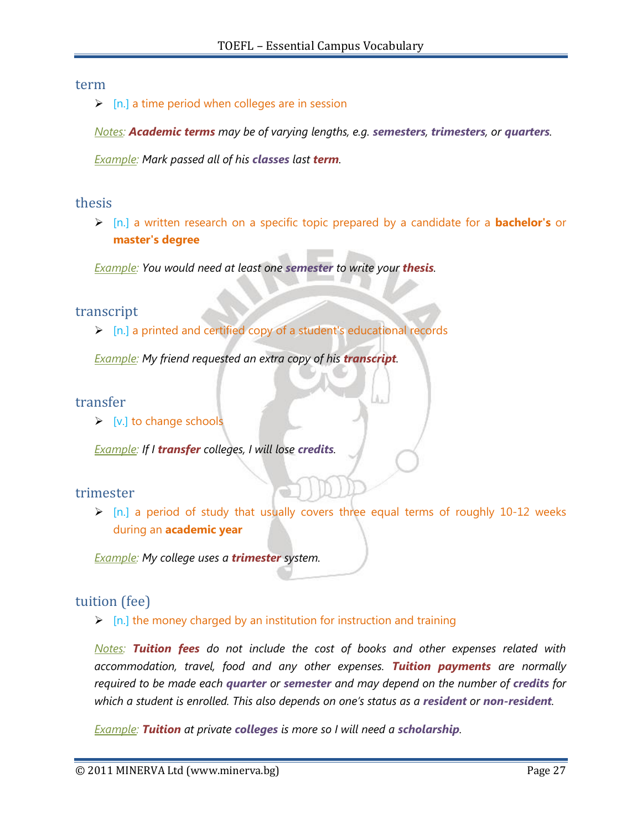#### term

 $\triangleright$  [n.] a time period when colleges are in session

*Notes: Academic terms may be of varying lengths, e.g. semesters, trimesters, or quarters.*

*Example: Mark passed all of his classes last term.*

## thesis

 [n.] a written research on a specific topic prepared by a candidate for a **bachelor's** or **master's degree**

*Example: You would need at least one semester to write your thesis.*

## transcript

 $\triangleright$  [n.] a printed and certified copy of a student's educational records

*<u>Example</u>: My friend requested an extra copy of his transcript.* 

## transfer

 $\triangleright$  [v.] to change schools

*Example: If I transfer colleges, I will lose credits.*

## trimester

 [n.] a period of study that usually covers three equal terms of roughly 10-12 weeks during an **academic year**

*Example: My college uses a trimester system.*

# tuition (fee)

 $\triangleright$  [n.] the money charged by an institution for instruction and training

*Notes: Tuition fees do not include the cost of books and other expenses related with accommodation, travel, food and any other expenses. Tuition payments are normally required to be made each quarter or semester and may depend on the number of credits for which a student is enrolled. This also depends on one"s status as a resident or non-resident.*

*Example: Tuition at private colleges is more so I will need a scholarship.*